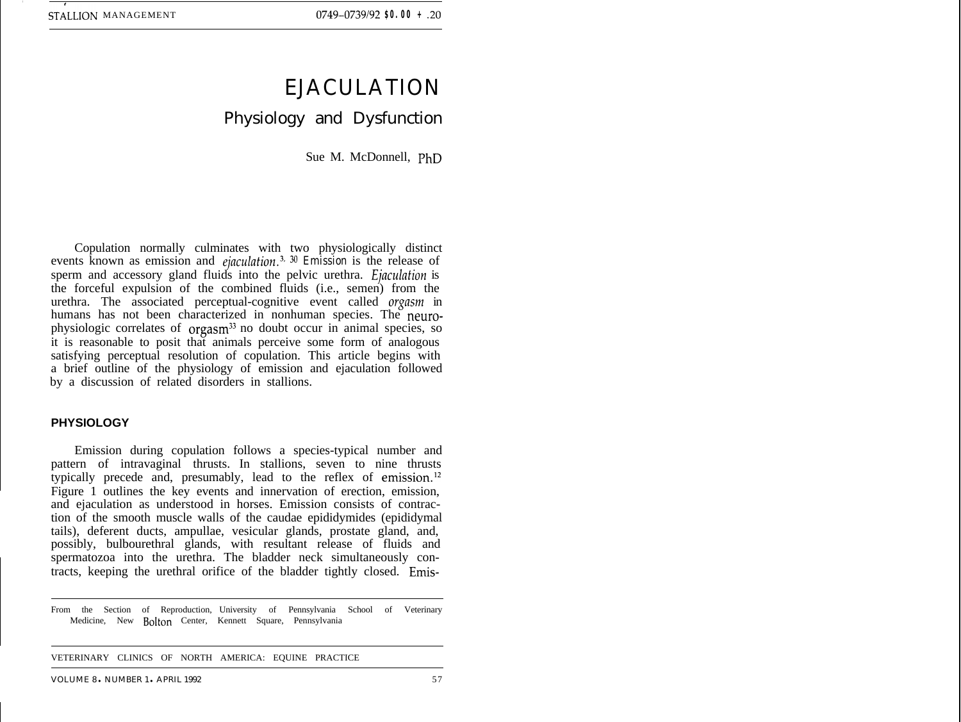# EJACULATION

## Physiology and Dysfunction

Sue M. McDonnell, PhD

Copulation normally culminates with two physiologically distinct events known as emission and *ejaculation*.<sup>3, 30</sup> *Emission* is the release of sperm and accessory gland fluids into the pelvic urethra. *Ejaculation* is the forceful expulsion of the combined fluids (i.e., semen) from the urethra. The associated perceptual-cognitive event called orgasm in humans has not been characterized in nonhuman species. The neurophysiologic correlates of orgasm<sup>33</sup> no doubt occur in animal species, so it is reasonable to posit that animals perceive some form of analogous satisfying perceptual resolution of copulation. This article begins with a brief outline of the physiology of emission and ejaculation followed by a discussion of related disorders in stallions.

## **PHYSIOLOGY**

Emission during copulation follows a species-typical number and pattern of intravaginal thrusts. In stallions, seven to nine thrusts typically precede and, presumably, lead to the reflex of emission.12 Figure 1 outlines the key events and innervation of erection, emission, and ejaculation as understood in horses. Emission consists of contraction of the smooth muscle walls of the caudae epididymides (epididymal tails), deferent ducts, ampullae, vesicular glands, prostate gland, and, possibly, bulbourethral glands, with resultant release of fluids and spermatozoa into the urethra. The bladder neck simultaneously contracts, keeping the urethral orifice of the bladder tightly closed. Emis-

From the Section of Reproduction, University of Pennsylvania School of Veterinary Medicine, New Bolton Center, Kennett Square, Pennsylvania

VETERINARY CLINICS OF NORTH AMERICA: EQUINE PRACTICE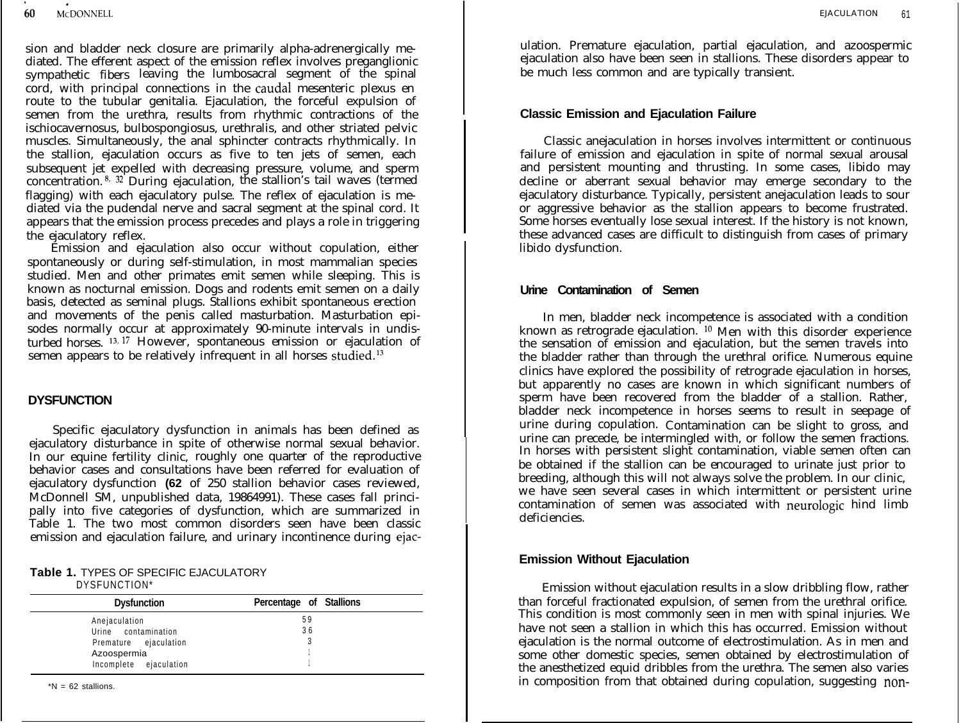sion and bladder neck closure are primarily alpha-adrenergically mediated. The efferent aspect of the emission reflex involves preganglionic sympathetic fibers leaving the lumbosacral segment of the spinal cord, with principal connections in the caudal mesenteric plexus en route to the tubular genitalia. Ejaculation, the forceful expulsion of semen from the urethra, results from rhythmic contractions of the ischiocavernosus, bulbospongiosus, urethralis, and other striated pelvic muscles. Simultaneously, the anal sphincter contracts rhythmically. In the stallion, ejaculation occurs as five to ten jets of semen, each subsequent jet expelled with decreasing pressure, volume, and sperm concentration.  $8$ ,  $32$  During ejaculation, the stallion's tail waves (termed flagging) with each ejaculatory pulse. The reflex of ejaculation is mediated via the pudendal nerve and sacral segment at the spinal cord. It appears that the emission process precedes and plays a role in triggering the ejaculatory reflex.

Emission and ejaculation also occur without copulation, either spontaneously or during self-stimulation, in most mammalian species studied. Men and other primates emit semen while sleeping. This is known as nocturnal emission. Dogs and rodents emit semen on a daily basis, detected as seminal plugs. Stallions exhibit spontaneous erection and movements of the penis called masturbation. Masturbation episodes normally occur at approximately 90-minute intervals in undisturbed horses. <sup>13, 17</sup> However, spontaneous emission or ejaculation of semen appears to be relatively infrequent in all horses studied.<sup>13</sup>

## **DYSFUNCTION**

Specific ejaculatory dysfunction in animals has been defined as ejaculatory disturbance in spite of otherwise normal sexual behavior. In our equine fertility clinic, roughly one quarter of the reproductive behavior cases and consultations have been referred for evaluation of ejaculatory dysfunction **(62** of 250 stallion behavior cases reviewed, McDonnell SM, unpublished data, 19864991). These cases fall principally into five categories of dysfunction, which are summarized in Table 1. The two most common disorders seen have been classic emission and ejaculation failure, and urinary incontinence during ejac-

#### **Table 1.** TYPES OF SPECIFIC EJACULATORY DYSFUNCTION\*

| <b>Dysfunction</b>     | Percentage of Stallions |
|------------------------|-------------------------|
| Anejaculation          | 59                      |
| Urine contamination    | 36                      |
| Premature ejaculation  |                         |
| Azoospermia            |                         |
| Incomplete ejaculation |                         |

ulation. Premature ejaculation, partial ejaculation, and azoospermic ejaculation also have been seen in stallions. These disorders appear to be much less common and are typically transient.

## **Classic Emission and Ejaculation Failure**

Classic anejaculation in horses involves intermittent or continuous failure of emission and ejaculation in spite of normal sexual arousal and persistent mounting and thrusting. In some cases, libido may decline or aberrant sexual behavior may emerge secondary to the ejaculatory disturbance. Typically, persistent anejaculation leads to sour or aggressive behavior as the stallion appears to become frustrated. Some horses eventually lose sexual interest. If the history is not known, these advanced cases are difficult to distinguish from cases of primary libido dysfunction.

## **Urine Contamination of Semen**

In men, bladder neck incompetence is associated with a condition known as retrograde ejaculation.  $10$  Men with this disorder experience the sensation of emission and ejaculation, but the semen travels into the bladder rather than through the urethral orifice. Numerous equine clinics have explored the possibility of retrograde ejaculation in horses, but apparently no cases are known in which significant numbers of sperm have been recovered from the bladder of a stallion. Rather, bladder neck incompetence in horses seems to result in seepage of urine during copulation. Contamination can be slight to gross, and urine can precede, be intermingled with, or follow the semen fractions. In horses with persistent slight contamination, viable semen often can be obtained if the stallion can be encouraged to urinate just prior to breeding, although this will not always solve the problem. In our clinic, we have seen several cases in which intermittent or persistent urine contamination of semen was associated with neurologic hind limb deficiencies.

## **Emission Without Ejaculation**

Emission without ejaculation results in a slow dribbling flow, rather than forceful fractionated expulsion, of semen from the urethral orifice. This condition is most commonly seen in men with spinal injuries. We have not seen a stallion in which this has occurred. Emission without ejaculation is the normal outcome of electrostimulation. As in men and some other domestic species, semen obtained by electrostimulation of the anesthetized equid dribbles from the urethra. The semen also varies in composition from that obtained during copulation, suggesting non-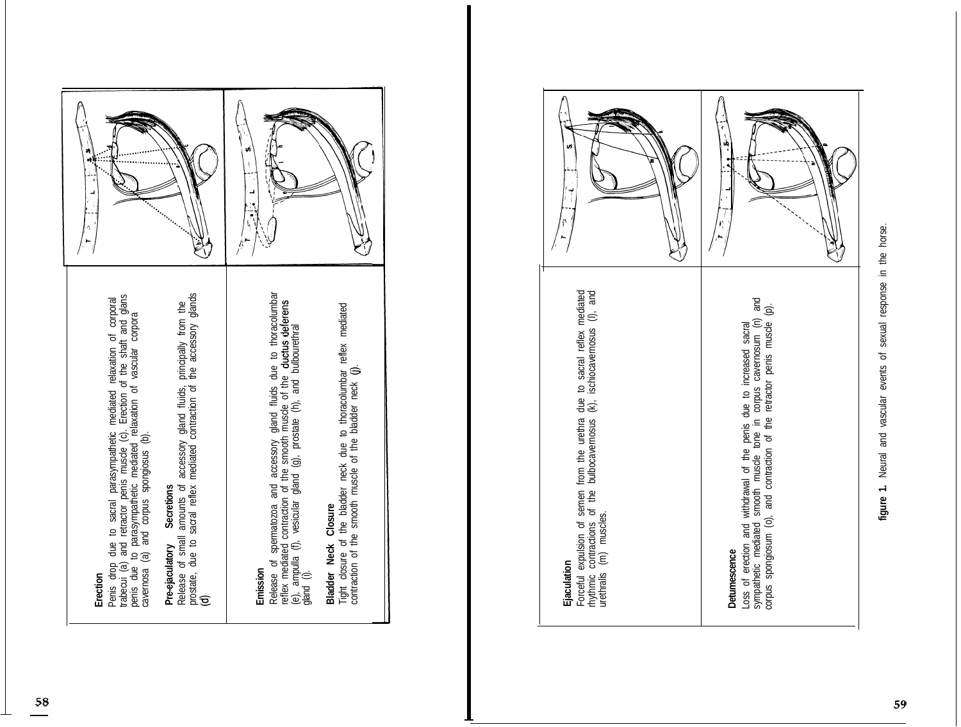



figure 1. Neural and vascular events of sexual response in the horse. **figure 1.** Neural and vascular events of sexual response in the horse.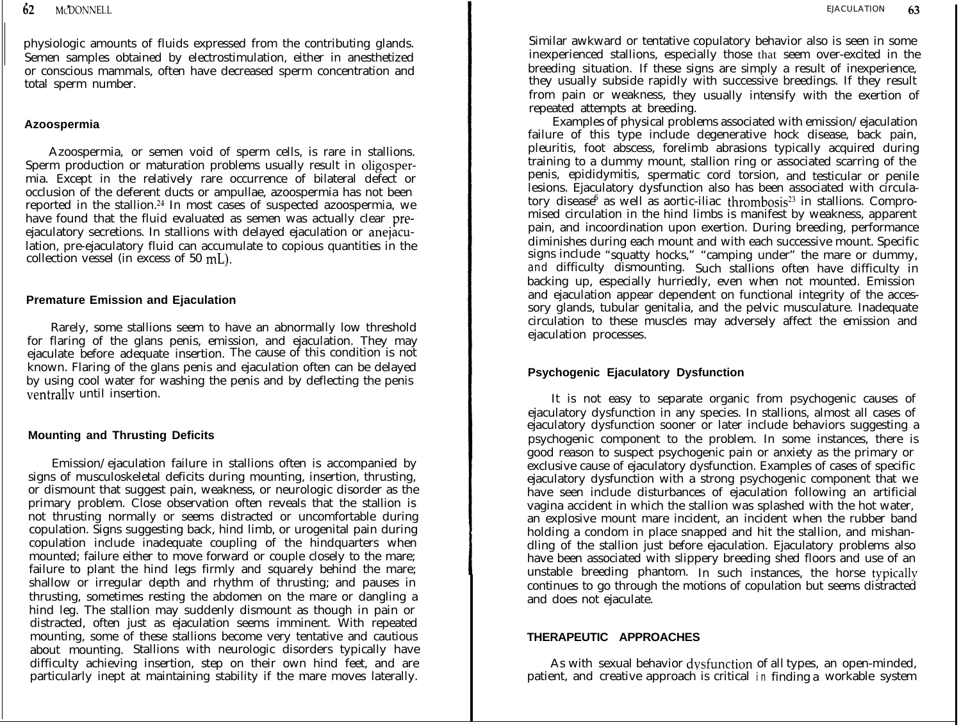physiologic amounts of fluids expressed from the contributing glands. Semen samples obtained by electrostimulation, either in anesthetized or conscious mammals, often have decreased sperm concentration and total sperm number.

## **Azoospermia**

Azoospermia, or semen void of sperm cells, is rare in stallions. Sperm production or maturation problems usually result in oligospermia. Except in the relatively rare occurrence of bilateral defect or occlusion of the deferent ducts or ampullae, azoospermia has not been reported in the stallion.24 In most cases of suspected azoospermia, we have found that the fluid evaluated as semen was actually clear preejaculatory secretions. In stallions with delayed ejaculation or anejaculation, pre-ejaculatory fluid can accumulate to copious quantities in the collection vessel (in excess of 50 mL).

## **Premature Emission and Ejaculation**

Rarely, some stallions seem to have an abnormally low threshold for flaring of the glans penis, emission, and ejaculation. They may ejaculate before adequate insertion. The cause of this condition is not known. Flaring of the glans penis and ejaculation often can be delayed by using cool water for washing the penis and by deflecting the penis ventrallv until insertion.

## **Mounting and Thrusting Deficits**

Emission/ejaculation failure in stallions often is accompanied by signs of musculoskeletal deficits during mounting, insertion, thrusting, or dismount that suggest pain, weakness, or neurologic disorder as the primary problem. Close observation often reveals that the stallion is not thrusting normally or seems distracted or uncomfortable during copulation. Signs suggesting back, hind limb, or urogenital pain during copulation include inadequate coupling of the hindquarters when mounted; failure either to move forward or couple closely to the mare; failure to plant the hind legs firmly and squarely behind the mare; shallow or irregular depth and rhythm of thrusting; and pauses in thrusting, sometimes resting the abdomen on the mare or dangling a hind leg. The stallion may suddenly dismount as though in pain or distracted, often just as ejaculation seems imminent. With repeated mounting, some of these stallions become very tentative and cautious about mounting. Stallions with neurologic disorders typically have difficulty achieving insertion, step on their own hind feet, and are particularly inept at maintaining stability if the mare moves laterally.

Similar awkward or tentative copulatory behavior also is seen in some inexperienced stallions, especially those that seem over-excited in the breeding situation. If these signs are simply a result of inexperience, they usually subside rapidly with successive breedings. If they result from pain or weakness, they usually intensify with the exertion of repeated attempts at breeding.

Examples of physical problems associated with emission/ejaculation failure of this type include degenerative hock disease, back pain, pleuritis, foot abscess, forelimb abrasions typically acquired during training to a dummy mount, stallion ring or associated scarring of the penis, epididymitis, spermatic cord torsion, and testicular or penile lesions. Ejaculatory dysfunction also has been associated with circulatory disease<sup>6</sup> as well as aortic-iliac thrombosis<sup>23</sup> in stallions. Compromised circulation in the hind limbs is manifest by weakness, apparent pain, and incoordination upon exertion. During breeding, performance diminishes during each mount and with each successive mount. Specific signs include "squatty hocks," "camping under" the mare or dummy, and difficulty dismounting. Such stallions often have difficulty in backing up, especially hurriedly, even when not mounted. Emission and ejaculation appear dependent on functional integrity of the accessory glands, tubular genitalia, and the pelvic musculature. Inadequate circulation to these muscles may adversely affect the emission and ejaculation processes.

## **Psychogenic Ejaculatory Dysfunction**

It is not easy to separate organic from psychogenic causes of ejaculatory dysfunction in any species. In stallions, almost all cases of ejaculatory dysfunction sooner or later include behaviors suggesting a psychogenic component to the problem. In some instances, there is good reason to suspect psychogenic pain or anxiety as the primary or exclusive cause of ejaculatory dysfunction. Examples of cases of specific ejaculatory dysfunction with a strong psychogenic component that we have seen include disturbances of ejaculation following an artificial vagina accident in which the stallion was splashed with the hot water, an explosive mount mare incident, an incident when the rubber band holding a condom in place snapped and hit the stallion, and mishandling of the stallion just before ejaculation. Ejaculatory problems also have been associated with slippery breeding shed floors and use of an unstable breeding phantom. In such instances, the horse typicallv continues to go through the motions of copulation but seems distracted and does not ejaculate.

## **THERAPEUTIC APPROACHES**

As with sexual behavior dvsfunction of all types, an open-minded, patient, and creative approach is critical in finding a workable system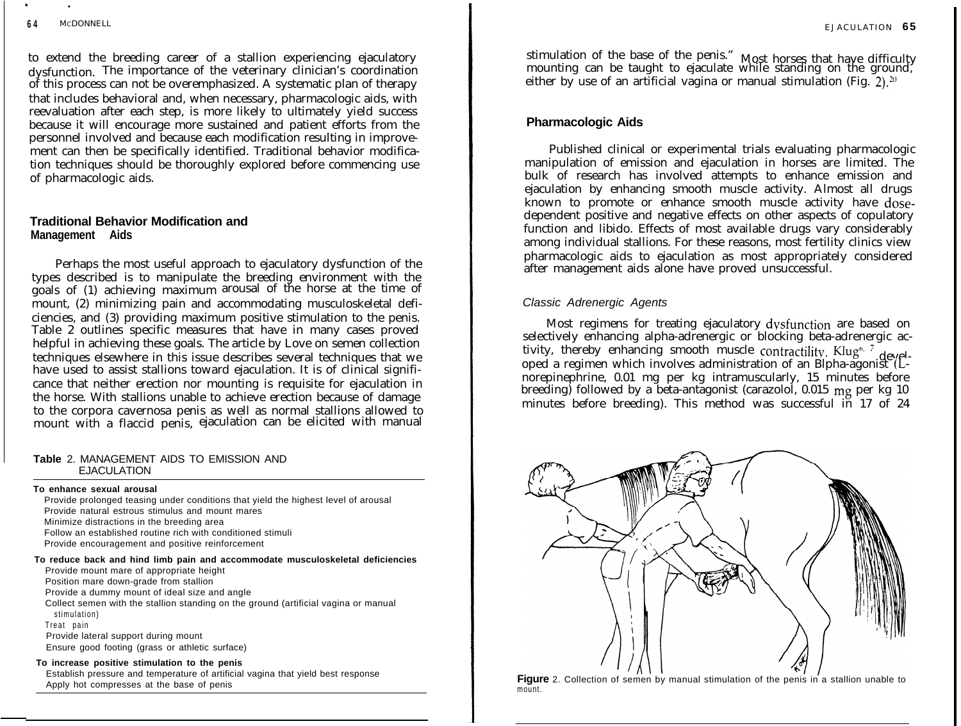$\cdot$  let

to extend the breeding career of a stallion experiencing ejaculatory dysfunction. The importance of the veterinary clinician's coordination of this process can not be overemphasized. A systematic plan of therapy that includes behavioral and, when necessary, pharmacologic aids, with reevaluation after each step, is more likely to ultimately yield success because it will encourage more sustained and patient efforts from the personnel involved and because each modification resulting in improvement can then be specifically identified. Traditional behavior modification techniques should be thoroughly explored before commencing use of pharmacologic aids.

## **Traditional Behavior Modification and Management Aids**

Perhaps the most useful approach to ejaculatory dysfunction of the types described is to manipulate the breeding environment with the goals of (1) achieving maximum arousal of the horse at the time of mount, (2) minimizing pain and accommodating musculoskeletal deficiencies, and (3) providing maximum positive stimulation to the penis. Table 2 outlines specific measures that have in many cases proved helpful in achieving these goals. The article by Love on semen collection techniques elsewhere in this issue describes several techniques that we have used to assist stallions toward ejaculation. It is of clinical significance that neither erection nor mounting is requisite for ejaculation in the horse. With stallions unable to achieve erection because of damage to the corpora cavernosa penis as well as normal stallions allowed to mount with a flaccid penis, ejaculation can be elicited with manual

#### **Table** 2. MANAGEMENT AIDS TO EMISSION AND **EJACULATION**

#### **To enhance sexual arousal**

Provide prolonged teasing under conditions that yield the highest level of arousal Provide natural estrous stimulus and mount mares Minimize distractions in the breeding area Follow an established routine rich with conditioned stimuli Provide encouragement and positive reinforcement

#### **To reduce back and hind limb pain and accommodate musculoskeletal deficiencies**

Provide mount mare of appropriate height

Position mare down-grade from stallion

Provide a dummy mount of ideal size and angle

Collect semen with the stallion standing on the ground (artificial vagina or manual stimulation) Treat pain

Provide lateral support during mount

Ensure good footing (grass or athletic surface)

#### **To increase positive stimulation to the penis**

Establish pressure and temperature of artificial vagina that yield best response Apply hot compresses at the base of penis

stimulation of the base of the penis." Most horses that have difficulty mounting can be taught to ejaculate while standing on the ground, either by use of an artificial vagina or manual stimulation (Fig. 2).<sup>20</sup>

## **Pharmacologic Aids**

Published clinical or experimental trials evaluating pharmacologic manipulation of emission and ejaculation in horses are limited. The bulk of research has involved attempts to enhance emission and ejaculation by enhancing smooth muscle activity. Almost all drugs known to promote or enhance smooth muscle activity have dosedependent positive and negative effects on other aspects of copulatory function and libido. Effects of most available drugs vary considerably among individual stallions. For these reasons, most fertility clinics view pharmacologic aids to ejaculation as most appropriately considered after management aids alone have proved unsuccessful.

## *Classic Adrenergic Agents*

Most regimens for treating ejaculatory dvsfunction are based on selectively enhancing alpha-adrenergic or blocking beta-adrenergic activity, thereby enhancing smooth muscle contractility. Klug<sup>6, 7</sup> davel oped a regimen which involves administration of an Blpha-agonist (Lnorepinephrine, 0.01 mg per kg intramuscularly, 15 minutes before breeding) followed by a beta-antagonist (carazolol, 0.015 mg per kg 10 minutes before breeding). This method was successful in 17 of 24



**Figure** 2. Collection of semen by manual stimulation of the penis in a stallion unable to mount.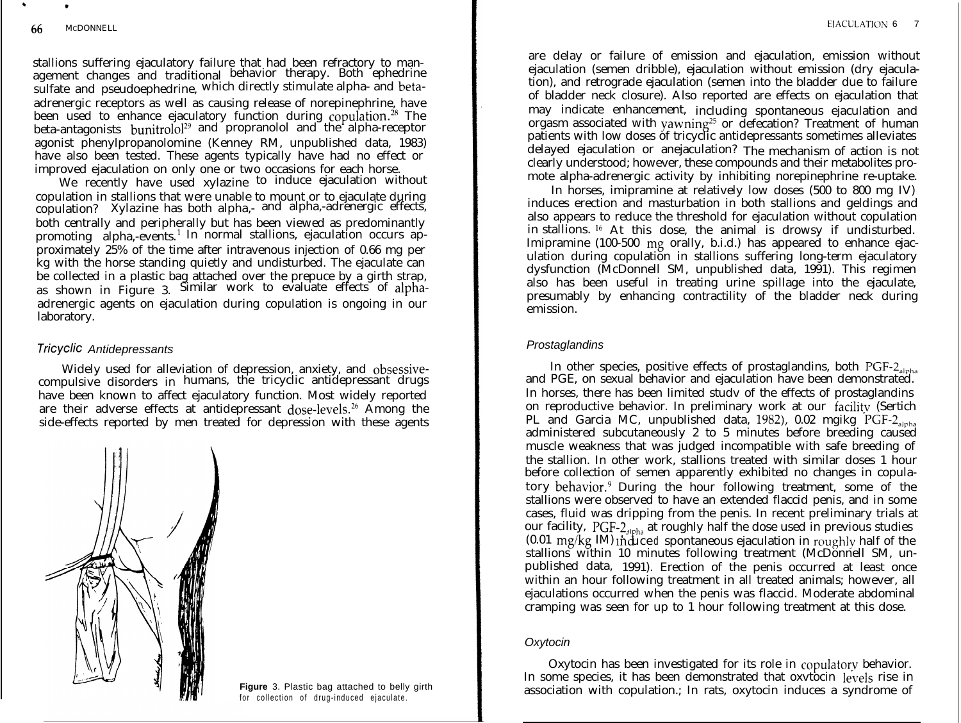\* <sup>w</sup>

stallions suffering ejaculatory failure that had been refractory to management changes and traditional behavior therapy. Both ephedrine sulfate and pseudoephedrine, which directly stimulate alpha- and betaadrenergic receptors as well as causing release of norepinephrine, have been used to enhance ejaculatory function during copulation.<sup>28</sup> The beta-antagonists bunitrolo<sup>129</sup> and propranolol and the alpha-receptor agonist phenylpropanolomine (Kenney RM, unpublished data, 1983) have also been tested. These agents typically have had no effect or improved ejaculation on only one or two occasions for each horse.

We recently have used xylazine to induce ejaculation without copulation in stallions that were unable to mount or to ejaculate during copulation? Xylazine has both alpha,- and alpha,-adrenergic effects, both centrally and peripherally but has been viewed as predominantly promoting alpha,-events.<sup>1</sup> In normal stallions, ejaculation occurs approximately 25% of the time after intravenous injection of 0.66 mg per kg with the horse standing quietly and undisturbed. The ejaculate can be collected in a plastic bag attached over the prepuce by a girth strap, as shown in Figure 3. Similar work to evaluate effects of alphaadrenergic agents on ejaculation during copulation is ongoing in our laboratory.

## *Tricyclic Antidepressants*

Widely used for alleviation of depression, anxiety, and obsessivecompulsive disorders in humans, the tricyclic antidepressant drugs have been known to affect ejaculatory function. Most widely reported are their adverse effects at antidepressant dose-levels.<sup>26</sup> Among the side-effects reported by men treated for depression with these agents



**Figure** 3. Plastic bag attached to belly girth for collection of drug-induced ejaculate.

are delay or failure of emission and ejaculation, emission without ejaculation (semen dribble), ejaculation without emission (dry ejaculation), and retrograde ejaculation (semen into the bladder due to failure of bladder neck closure). Also reported are effects on ejaculation that may indicate enhancement, including spontaneous ejaculation and orgasm associated with yawning<sup>25</sup> or defecation? Treatment of human patients with low doses of tricyclic antidepressants sometimes alleviates delayed ejaculation or anejaculation? The mechanism of action is not clearly understood; however, these compounds and their metabolites promote alpha-adrenergic activity by inhibiting norepinephrine re-uptake.

In horses, imipramine at relatively low doses (500 to 800 mg IV) induces erection and masturbation in both stallions and geldings and also appears to reduce the threshold for ejaculation without copulation in stallions.  $16$  At this dose, the animal is drowsy if undisturbed. Imipramine (100-500 mg orally, b.i.d.) has appeared to enhance ejaculation during copulation in stallions suffering long-term ejaculatory dysfunction (McDonnell SM, unpublished data, 1991). This regimen also has been useful in treating urine spillage into the ejaculate, presumably by enhancing contractility of the bladder neck during emission.

## *Prostaglandins*

In other species, positive effects of prostaglandins, both  $PGF-2_{\alpha}$ , and PGE, on sexual behavior and ejaculation have been demonstrated. In horses, there has been limited studv of the effects of prostaglandins on reproductive behavior. In preliminary work at our facilitv (Sertich PL and Garcia MC, unpublished data, 1982), 0.02 mgikg PGF-2<sub>alpha</sub> administered subcutaneously 2 to 5 minutes before breeding caused muscle weakness that was judged incompatible with safe breeding of the stallion. In other work, stallions treated with similar doses 1 hour before collection of semen apparently exhibited no changes in copulatory behavior.9 During the hour following treatment, some of the stallions were observed to have an extended flaccid penis, and in some cases, fluid was dripping from the penis. In recent preliminary trials at our facility, PGF-2<sub>alpha</sub> at roughly half the dose used in previous studies  $(0.01 \, \text{mg/kg}$  IM) induced spontaneous ejaculation in roughly half of the stallions within 10 minutes following treatment (McDonnell SM, unpublished data, 1991). Erection of the penis occurred at least once within an hour following treatment in all treated animals; however, all ejaculations occurred when the penis was flaccid. Moderate abdominal cramping was seen for up to 1 hour following treatment at this dose.

## *Oxytocin*

Oxytocin has been investigated for its role in copulatorv behavior. In some species, it has been demonstrated that oxvtocin levels rise in association with copulation.; In rats, oxytocin induces a syndrome of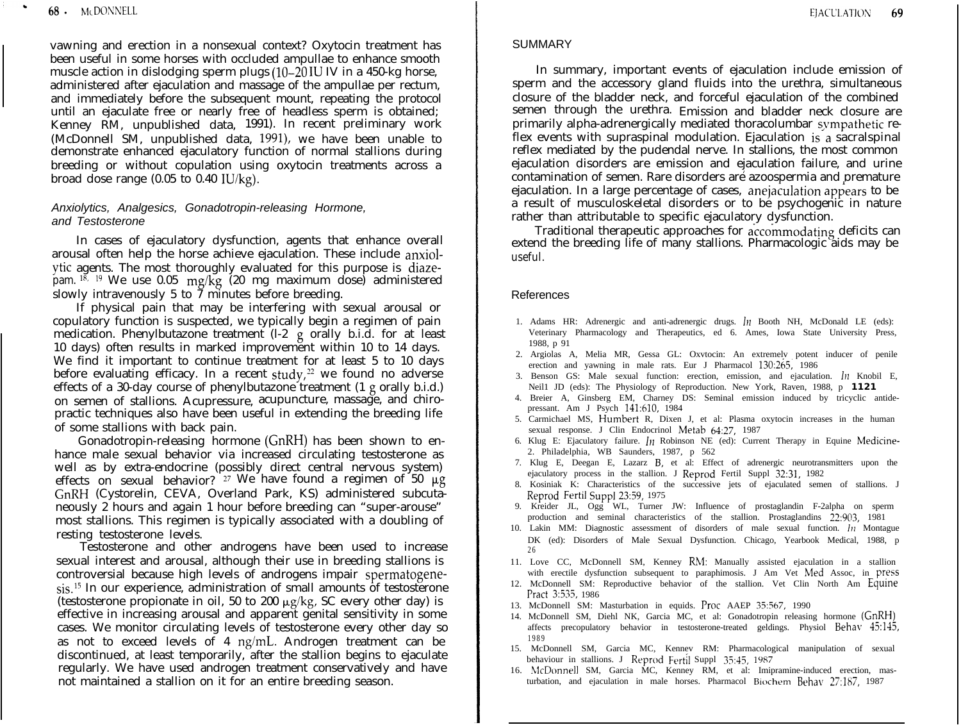vawning and erection in a nonsexual context? Oxytocin treatment has been useful in some horses with occluded ampullae to enhance smooth muscle action in dislodging sperm plugs  $(10-20$  IU IV in a 450-kg horse, administered after ejaculation and massage of the ampullae per rectum, and immediately before the subsequent mount, repeating the protocol until an ejaculate free or nearly free of headless sperm is obtained; Kenney RM, unpublished data, 1991). In recent preliminary work (McDonnell SM, unpublished data, 1991), we have been unable to demonstrate enhanced ejaculatory function of normal stallions during breeding or without copulation using oxytocin treatments across a broad dose range  $(0.05 \text{ to } 0.40 \text{ IU/kg}).$ 

## *Anxiolytics, Analgesics, Gonadotropin-releasing Hormone, and Testosterone*

In cases of ejaculatory dysfunction, agents that enhance overall arousal often help the horse achieve ejaculation. These include anxiolytic agents. The most thoroughly evaluated for this purpose is diazepam.  $18$ ,  $19$  We use 0.05 mg/kg (20 mg maximum dose) administered slowly intravenously 5 to  $\tilde{7}$  minutes before breeding.

If physical pain that may be interfering with sexual arousal or copulatory function is suspected, we typically begin a regimen of pain medication. Phenylbutazone treatment (l-2 g orally b.i.d. for at least 10 days) often results in marked improvement within 10 to 14 days. We find it important to continue treatment for at least 5 to 10 days before evaluating efficacy. In a recent study,<sup>22</sup> we found no adverse effects of a 30-day course of phenylbutazone treatment (1 g orally b.i.d.) on semen of stallions. Acupressure, acupuncture, massage, and chiropractic techniques also have been useful in extending the breeding life of some stallions with back pain.

Gonadotropin-releasing hormone (GnRH) has been shown to enhance male sexual behavior via increased circulating testosterone as well as by extra-endocrine (possibly direct central nervous system) effects on sexual behavior? <sup>27</sup> We have found a regimen of 50  $\mu$ g GnRH (Cystorelin, CEVA, Overland Park, KS) administered subcutaneously 2 hours and again 1 hour before breeding can "super-arouse" most stallions. This regimen is typically associated with a doubling of resting testosterone levels.

Testosterone and other androgens have been used to increase sexual interest and arousal, although their use in breeding stallions is controversial because high levels of androgens impair spermatogenesis.15 In our experience, administration of small amounts of testosterone (testosterone propionate in oil, 50 to 200  $\mu$ g/kg, SC every other day) is effective in increasing arousal and apparent genital sensitivity in some cases. We monitor circulating levels of testosterone every other day so as not to exceed levels of 4 ng/mL. Androgen treatment can be discontinued, at least temporarily, after the stallion begins to ejaculate regularly. We have used androgen treatment conservatively and have not maintained a stallion on it for an entire breeding season.

## SUMMARY

In summary, important events of ejaculation include emission of sperm and the accessory gland fluids into the urethra, simultaneous closure of the bladder neck, and forceful ejaculation of the combined semen through the urethra. Emission and bladder neck closure are primarily alpha-adrenergically mediated thoracolumbar svmpathetic reflex events with supraspinal modulation. Ejaculation is a sacralspinal reflex mediated by the pudendal nerve. In stallions, the most common ejaculation disorders are emission and ejaculation failure, and urine , contamination of semen. Rare disorders are azoospermia and premature ejaculation. In a large percentage of cases, anejaculation appears to be a result of musculoskeletal disorders or to be psychogenic in nature rather than attributable to specific ejaculatory dysfunction.

Traditional therapeutic approaches for accommodating deficits can extend the breeding life of many stallions. Pharmacologic aids may be useful.

## **References**

- 1. Adams HR: Adrenergic and anti-adrenergic drugs.  $\eta_1$  Booth NH, McDonald LE (eds): Veterinary Pharmacology and Therapeutics, ed 6. Ames, Iowa State University Press, 1988, p 91
- 2. Argiolas A, Melia MR, Gessa GL: Oxvtocin: An extremelv potent inducer of penile erection and yawning in male rats. Eur J Pharmacol 130:265, 1986
- 3. Benson GS: Male sexual function: erection, emission, and ejaculation.  $\ln 1$  Knobil E, Neil1 JD (eds): The Physiology of Reproduction. New York, Raven, 1988, p **1121**
- 4. Breier A, Ginsberg EM, Charney DS: Seminal emission induced by tricyclic antidepressant. Am J Psych 141:610, 1984
- 5. Carmichael MS, Humbert R, Dixen J, et al: Plasma oxytocin increases in the human sexual response. J Clin Endocrinol Metab 64:27, 1987
- 6. Klug E: Ejaculatory failure.  $\eta_1$  Robinson NE (ed): Current Therapy in Equine Medicine-2. Philadelphia, WB Saunders, 1987, p 562
- 7. Klug E, Deegan E, Lazarz 8, et al: Effect of adrenergic neurotransmitters upon the ejaculatory process in the stallion. J Reprod Fertil Suppl 32:31, 1982
- 8. Kosiniak K: Characteristics of the successive jets of ejaculated semen of stallions. J Reprod Fertil Suppl 23:59, 1975
- 9. Kreider JL, Ogg WL, Turner JW: Influence of prostaglandin F-2alpha on sperm production and seminal characteristics of the stallion. Prostaglandins 22:903, 1981
- 10. Lakin MM: Diagnostic assessment of disorders of male sexual function.  $\ln$  Montague DK (ed): Disorders of Male Sexual Dysfunction. Chicago, Yearbook Medical, 1988, p 2 6
- 11. Love CC, McDonnell SM, Kenney RM: Manually assisted ejaculation in a stallion with erectile dysfunction subsequent to paraphimosis. J Am Vet Med Assoc, in press
- 12. McDonnell SM: Reproductive behavior of the stallion. Vet Clin North Am Equine Pract 3:535, 1986
- 13. McDonnell SM: Masturbation in equids. Proc AAEP 35:567, 1990
- 14. McDonnell SM, Diehl NK, Garcia MC, et al: Gonadotropin releasing hormone (GnRH) affects precopulatory behavior in testosterone-treated geldings. Physiol Behav 45:145, 1989
- 15. McDonnell SM, Garcia MC, Kennev RM: Pharmacological manipulation of sexual behaviour in stallions. J Reprod Fertil Suppl 35:45, 1987
- 16. hlcDonnel1 SM, Garcia MC, Kenney RM, et al: Imipramine-induced erection, masturbation, and ejaculation in male horses. Pharmacol Biochem Behav 27:1&7, 1987